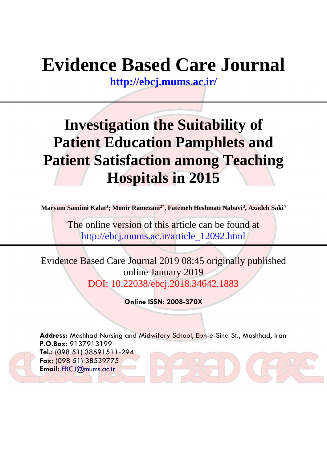# **Evidence Based Care Journal**

**<http://ebcj.mums.ac.ir/>**

## **Investigation the Suitability of Patient Education Pamphlets and Patient Satisfaction among Teaching Hospitals in 2015**

**Maryam Samimi Kalat<sup>1</sup> ; Monir Ramezani2\*, Fatemeh Heshmati Nabavi<sup>3</sup> , Azadeh Saki<sup>4</sup>**

The online version of this article can be found at http://ebcj.mums.ac.ir/article\_12092.html

Evidence Based Care Journal 2019 08:45 originally published online January 2019 DOI: 10.22038/ebcj.2018.34642.1883

**Online ISSN: 2008-370X**

**Address:** Mashhad Nursing and Midwifery School, Ebn-e-Sina St., Mashhad, Iran **P.O.Box:** 9137913199 **Tel.:** (098 51) 38591511-294 **Fax:** (098 51) 38539775 **Email:** [EBCJ@mums.ac.ir](mailto:EBCJ@mums.ac.ir)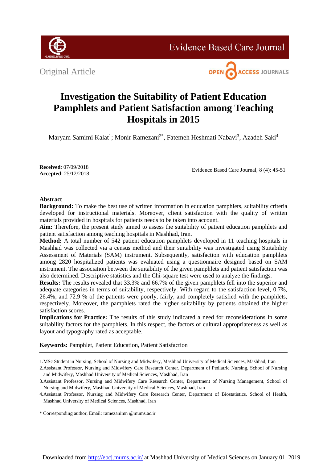

**Evidence Based Care Journal** 

Original Article



### **Investigation the Suitability of Patient Education Pamphlets and Patient Satisfaction among Teaching Hospitals in 2015**

Maryam Samimi Kalat<sup>1</sup>; Monir Ramezani<sup>2\*</sup>, Fatemeh Heshmati Nabavi<sup>3</sup>, Azadeh Saki<sup>4</sup>

**Received**: 07/09/2018 **Accepted**: 25/12/2018

Evidence Based Care Journal, 8 (4): 45-51

#### **Abstract**

**Background:** To make the best use of written information in education pamphlets, suitability criteria developed for instructional materials. Moreover, client satisfaction with the quality of written materials provided in hospitals for patients needs to be taken into account.

**Aim:** Therefore, the present study aimed to assess the suitability of patient education pamphlets and patient satisfaction among teaching hospitals in Mashhad, Iran.

**Method:** A total number of 542 patient education pamphlets developed in 11 teaching hospitals in Mashhad was collected via a census method and their suitability was investigated using Suitability Assessment of Materials (SAM) instrument. Subsequently, satisfaction with education pamphlets among 2820 hospitalized patients was evaluated using a questionnaire designed based on SAM instrument. The association between the suitability of the given pamphlets and patient satisfaction was also determined. Descriptive statistics and the Chi-square test were used to analyze the findings.

**Results:** The results revealed that 33.3% and 66.7% of the given pamphlets fell into the superior and adequate categories in terms of suitability, respectively. With regard to the satisfaction level, 0.7%, 26.4%, and 72.9 % of the patients were poorly, fairly, and completely satisfied with the pamphlets, respectively. Moreover, the pamphlets rated the higher suitability by patients obtained the higher satisfaction scores.

**Implications for Practice:** The results of this study indicated a need for reconsiderations in some suitability factors for the pamphlets. In this respect, the factors of cultural appropriateness as well as layout and typography rated as acceptable.

**Keywords:** Pamphlet, Patient Education, Patient Satisfaction

<sup>1.</sup>MSc Student in Nursing, School of Nursing and Midwifery, Mashhad University of Medical Sciences, Mashhad, Iran

<sup>2.</sup>Assistant Professor, Nursing and Midwifery Care Research Center, Department of Pediatric Nursing, School of Nursing and Midwifery, Mashhad University of Medical Sciences, Mashhad, Iran

<sup>3.</sup>Assistant Professor, Nursing and Midwifery Care Research Center, Department of Nursing Management, School of Nursing and Midwifery, Mashhad University of Medical Sciences, Mashhad, Iran

<sup>4.</sup>Assistant Professor, Nursing and Midwifery Care Research Center, Department of Biostatistics, School of Health, Mashhad University of Medical Sciences, Mashhad, Iran

<sup>\*</sup> Corresponding author, Email: ramezanimn @mums.ac.ir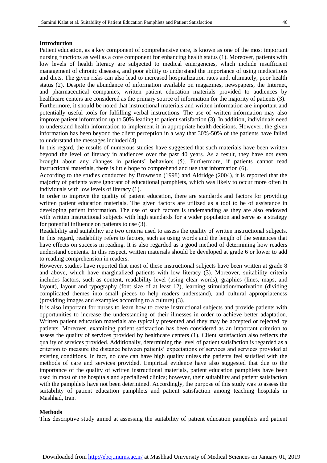#### **Introduction**

Patient education, as a key component of comprehensive care, is known as one of the most important nursing functions as well as a core component for enhancing health status (1). Moreover, patients with low levels of health literacy are subjected to medical emergencies, which include insufficient management of chronic diseases, and poor ability to understand the importance of using medications and diets. The given risks can also lead to increased hospitalization rates and, ultimately, poor health status (2). Despite the abundance of information available on magazines, newspapers, the Internet, and pharmaceutical companies, written patient education materials provided to audiences by healthcare centers are considered as the primary source of information for the majority of patients (3). Furthermore, it should be noted that instructional materials and written information are important and potentially useful tools for fulfilling verbal instructions. The use of written information may also improve patient information up to 50% leading to patient satisfaction (3). In addition, individuals need to understand health information to implement it in appropriate health decisions. However, the given information has been beyond the client perception in a way that 30%-50% of the patients have failed to understand the messages included (4).

In this regard, the results of numerous studies have suggested that such materials have been written beyond the level of literacy in audiences over the past 40 years. As a result, they have not even brought about any changes in patients' behaviors (5). Furthermore, if patients cannot read instructional materials, there is little hope to comprehend and use that information (6).

According to the studies conducted by Brownson (1998) and Aldridge (2004), it is reported that the majority of patients were ignorant of educational pamphlets, which was likely to occur more often in individuals with low levels of literacy (1).

In order to improve the quality of patient education, there are standards and factors for providing written patient education materials. The given factors are utilized as a tool to be of assistance in developing patient information. The use of such factors is undemanding as they are also endowed with written instructional subjects with high standards for a wider population and serve as a strategy for potential influence on patients to use (3).

Readability and suitability are two criteria used to assess the quality of written instructional subjects. In this regard, readability refers to factors, such as using words and the length of the sentences that have effects on success in reading. It is also regarded as a good method of determining how readers understand contents. In this respect, written materials should be developed at grade 6 or lower to add to reading comprehension in readers.

However, studies have reported that most of these instructional subjects have been written at grade 8 and above, which have marginalized patients with low literacy (3). Moreover, suitability criteria includes factors, such as content, readability level (using clear words), graphics (lines, maps, and layout), layout and typography (font size of at least 12), learning stimulation/motivation (dividing complicated themes into small pieces to help readers understand), and cultural appropriateness (providing images and examples according to a culture) (3).

It is also important for nurses to learn how to create instructional subjects and provide patients with opportunities to increase the understanding of their illnesses in order to achieve better adaptation. Written patient education materials are typically presented and they may be accepted or rejected by patients. Moreover, examining patient satisfaction has been considered as an important criterion to assess the quality of services provided by healthcare centers (1). Client satisfaction also reflects the quality of services provided. Additionally, determining the level of patient satisfaction is regarded as a criterion to measure the distance between patients' expectations of services and services provided at existing conditions. In fact, no care can have high quality unless the patients feel satisfied with the methods of care and services provided. Empirical evidence have also suggested that due to the importance of the quality of written instructional materials, patient education pamphlets have been used in most of the hospitals and specialized clinics; however, their suitability and patient satisfaction with the pamphlets have not been determined. Accordingly, the purpose of this study was to assess the suitability of patient education pamphlets and patient satisfaction among teaching hospitals in Mashhad, Iran.

#### **Methods**

This descriptive study aimed at assessing the suitability of patient education pamphlets and patient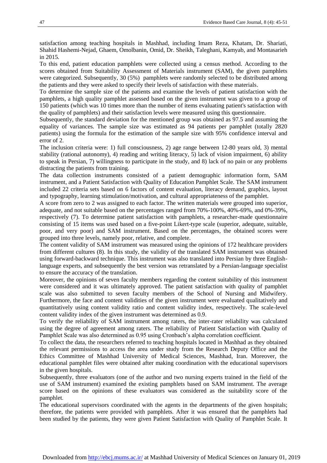satisfaction among teaching hospitals in Mashhad, including Imam Reza, Khatam, Dr. Shariati, Shahid Hashemi-Nejad, Ghaem, Omolbanin, Omid, Dr. Sheikh, Taleghani, Kamyab, and Montasarieh in 2015.

To this end, patient education pamphlets were collected using a census method. According to the scores obtained from Suitability Assessment of Materials instrument (SAM), the given pamphlets were categorized. Subsequently, 30 (5%) pamphlets were randomly selected to be distributed among the patients and they were asked to specify their levels of satisfaction with these materials.

To determine the sample size of the patients and examine the levels of patient satisfaction with the pamphlets, a high quality pamphlet assessed based on the given instrument was given to a group of 150 patients (which was 10 times more than the number of items evaluating patient's satisfaction with the quality of pamphlets) and their satisfaction levels were measured using this questionnaire.

Subsequently, the standard deviation for the mentioned group was obtained as 97.5 and assuming the equality of variances. The sample size was estimated as 94 patients per pamphlet (totally 2820 patients) using the formula for the estimation of the sample size with 95% confidence interval and error of 2.

The inclusion criteria were: 1) full consciousness, 2) age range between 12-80 years old, 3) mental stability (rational autonomy), 4) reading and writing literacy, 5) lack of vision impairment, 6) ability to speak in Persian, 7) willingness to participate in the study, and 8) lack of no pain or any problems distracting the patients from training.

The data collection instruments consisted of a patient demographic information form, SAM instrument, and a Patient Satisfaction with Quality of Education Pamphlet Scale. The SAM instrument included 22 criteria sets based on 6 factors of content evaluation, literacy demand, graphics, layout and typography, learning stimulation/motivation, and cultural appropriateness of the pamphlet.

A score from zero to 2 was assigned to each factor. The written materials were grouped into superior, adequate, and not suitable based on the percentages ranged from 70%-100%, 40%-69%, and 0%-39%, respectively (7). To determine patient satisfaction with pamphlets, a researcher-made questionnaire consisting of 15 items was used based on a five-point Likert-type scale (superior, adequate, suitable, poor, and very poor) and SAM instrument. Based on the percentages, the obtained scores were grouped into three levels, namely poor, relative, and complete.

The content validity of SAM instrument was measured using the opinions of 172 healthcare providers from different cultures (8). In this study, the validity of the translated SAM instrument was obtained using forward-backward technique. This instrument was also translated into Persian by three Englishlanguage experts, and subsequently the best version was retranslated by a Persian-language specialist to ensure the accuracy of the translation.

Moreover, the opinions of seven faculty members regarding the content suitability of this instrument were considered and it was ultimately approved. The patient satisfaction with quality of pamphlet scale was also submitted to seven faculty members of the School of Nursing and Midwifery. Furthermore, the face and content validities of the given instrument were evaluated qualitatively and quantitatively using content validity ratio and content validity index, respectively. The scale-level content validity index of the given instrument was determined as 0.9.

To verify the reliability of SAM instrument among raters, the inter-rater reliability was calculated using the degree of agreement among raters. The reliability of Patient Satisfaction with Quality of Pamphlet Scale was also determined as 0.95 using Cronbach's alpha correlation coefficient.

To collect the data, the researchers referred to teaching hospitals located in Mashhad as they obtained the relevant permissions to access the area under study from the Research Deputy Office and the Ethics Committee of Mashhad University of Medical Sciences, Mashhad, Iran. Moreover, the educational pamphlet files were obtained after making coordination with the educational supervisors in the given hospitals.

Subsequently, three evaluators (one of the author and two nursing experts trained in the field of the use of SAM instrument) examined the existing pamphlets based on SAM instrument. The average score based on the opinions of these evaluators was considered as the suitability score of the pamphlet.

The educational supervisors coordinated with the agents in the departments of the given hospitals; therefore, the patients were provided with pamphlets. After it was ensured that the pamphlets had been studied by the patients, they were given Patient Satisfaction with Quality of Pamphlet Scale. It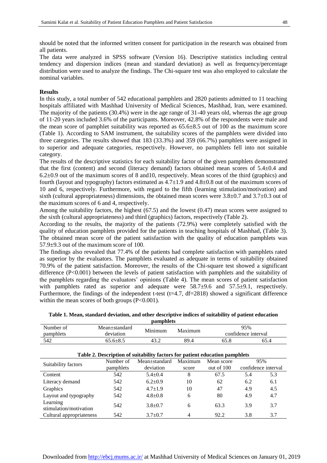should be noted that the informed written consent for participation in the research was obtained from all patients.

The data were analyzed in SPSS software (Version 16). Descriptive statistics including central tendency and dispersion indices (mean and standard deviation) as well as frequency/percentage distribution were used to analyze the findings. The Chi-square test was also employed to calculate the nominal variables.

#### **Results**

In this study, a total number of 542 educational pamphlets and 2820 patients admitted to 11 teaching hospitals affiliated with Mashhad University of Medical Sciences, Mashhad, Iran, were examined. The majority of the patients (30.4%) were in the age range of 31-40 years old, whereas the age group of 11-20 years included 3.6% of the participants. Moreover, 42.8% of the respondents were male and the mean score of pamphlet suitability was reported as 65.6±8.5 out of 100 as the maximum score (Table 1). According to SAM instrument, the suitability scores of the pamphlets were divided into three categories. The results showed that 183 (33.3%) and 359 (66.7%) pamphlets were assigned in to superior and adequate categories, respectively. However, no pamphlets fell into not suitable category.

The results of the descriptive statistics for each suitability factor of the given pamphlets demonstrated that the first (content) and second (literacy demand) factors obtained mean scores of 5.4±0.4 and 6.2±0.9 out of the maximum scores of 8 and10, respectively. Mean scores of the third (graphics) and fourth (layout and typography) factors estimated as 4.7±1.9 and 4.8±0.8 out of the maximum scores of 10 and 6, respectively. Furthermore, with regard to the fifth (learning stimulation/motivation) and sixth (cultural appropriateness) dimensions, the obtained mean scores were  $3.8\pm0.7$  and  $3.7\pm0.3$  out of the maximum scores of 6 and 4, respectively.

Among the suitability factors, the highest (67.5) and the lowest (0.47) mean scores were assigned to the sixth (cultural appropriateness) and third (graphics) factors, respectively (Table 2).

According to the results, the majority of the patients (72.9%) were completely satisfied with the quality of education pamphlets provided for the patients in teaching hospitals of Mashhad, (Table 3). The obtained mean score of the patient satisfaction with the quality of education pamphlets was 57.9±9.3 out of the maximum score of 100.

The findings also revealed that 77.4% of the patients had complete satisfaction with pamphlets rated as superior by the evaluators. The pamphlets evaluated as adequate in terms of suitability obtained 70.9% of the patient satisfaction. Moreover, the results of the Chi-square test showed a significant difference (P<0.001) between the levels of patient satisfaction with pamphlets and the suitability of the pamphlets regarding the evaluators' opinions (Table 4). The mean scores of patient satisfaction with pamphlets rated as superior and adequate were  $58.7\pm9.6$  and  $57.5\pm9.1$ , respectively. Furthermore, the findings of the independent t-test (t=4.7,  $df=2818$ ) showed a significant difference within the mean scores of both groups  $(P<0.001)$ .

| Number of                                                                   | Mean+standard  | Minimum       | Maximum | 95%                 |                     |      |  |
|-----------------------------------------------------------------------------|----------------|---------------|---------|---------------------|---------------------|------|--|
| pamphlets                                                                   | deviation      |               |         | confidence interval |                     |      |  |
| 542                                                                         | $65.6 \pm 8.5$ | 43.2          | 89.4    | 65.8                |                     | 65.4 |  |
|                                                                             |                |               |         |                     |                     |      |  |
| Table 2. Description of suitability factors for patient education pamphlets |                |               |         |                     |                     |      |  |
| Suitability factors                                                         | Number of      | Mean±standard | Maximum | Mean score          | 95%                 |      |  |
|                                                                             | pamphlets      | deviation     | score   | out of 100          | confidence interval |      |  |
| Content                                                                     | 542            | $5.4 + 0.4$   | 8       | 67.5                | 5.4                 | 5.3  |  |
| Literacy demand                                                             | 542            | $6.2+0.9$     | 10      | 62                  | 6.2                 | 6.1  |  |
| Graphics                                                                    | 542            | $4.7 \pm 1.9$ | 10      | 47                  | 4.9                 | 4.5  |  |
| Layout and typography                                                       | 542            | $4.8 \pm 0.8$ | 6       | 80                  | 4.9                 | 4.7  |  |
| Learning                                                                    | 542            | $3.8 \pm 0.7$ | 6       | 63.3                | 3.9                 | 3.7  |  |
| stimulation/motivation<br>Cultural appropriateness                          | 542            | $3.7 \pm 0.7$ | 4       | 92.2                | 3.8                 | 3.7  |  |

**Table 1. Mean, standard deviation, and other descriptive indices of suitability of patient education pamphlets**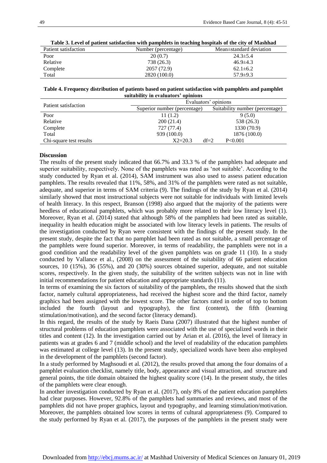| Table 9. Level of patient sausiaction with pampinets in teaching hospitals of the city of Mashnau |                     |                         |  |  |  |
|---------------------------------------------------------------------------------------------------|---------------------|-------------------------|--|--|--|
| Patient satisfaction                                                                              | Number (percentage) | Mean±standard deviation |  |  |  |
| Poor                                                                                              | 20(0.7)             | $24.3 \pm 5.4$          |  |  |  |
| Relative                                                                                          | 738 (26.3)          | $46.9 \pm 4.3$          |  |  |  |
| Complete                                                                                          | 2057 (72.9)         | $62.1 \pm 6.2$          |  |  |  |
| Total                                                                                             | 2820 (100.0)        | $57.9 \pm 9.3$          |  |  |  |
|                                                                                                   |                     |                         |  |  |  |

**Table 3. Level of patient satisfaction with pamphlets in teaching hospitals of the city of Mashhad**

**Table 4. Frequency distribution of patients based on patient satisfaction with pamphlets and pamphlet suitability in evaluators' opinions**

| Patient satisfaction    | Evaluators' opinions         |                                 |  |  |  |
|-------------------------|------------------------------|---------------------------------|--|--|--|
|                         | Superior number (percentage) | Suitability number (percentage) |  |  |  |
| Poor                    | 11(1.2)                      | 9(5.0)                          |  |  |  |
| Relative                | 200(21.4)                    | 538 (26.3)                      |  |  |  |
| Complete                | 727 (77.4)                   | 1330 (70.9)                     |  |  |  |
| Total                   | 939 (100.0)                  | 1876 (100.0)                    |  |  |  |
| Chi-square test results | $X2 = 20.3$                  | $df=2$<br>P<0.001               |  |  |  |

#### **Discussion**

The results of the present study indicated that 66.7% and 33.3 % of the pamphlets had adequate and superior suitability, respectively. None of the pamphlets was rated as 'not suitable'. According to the study conducted by Ryan et al. (2014), SAM instrument was also used to assess patient education pamphlets. The results revealed that 11%, 58%, and 31% of the pamphlets were rated as not suitable, adequate, and superior in terms of SAM criteria (9). The findings of the study by Ryan et al. (2014) similarly showed that most instructional subjects were not suitable for individuals with limited levels of health literacy. In this respect, Branson (1998) also argued that the majority of the patients were heedless of educational pamphlets, which was probably more related to their low literacy level (1). Moreover, Ryan et al. (2014) stated that although 58% of the pamphlets had been rated as suitable, inequality in health education might be associated with low literacy levels in patients. The results of the investigation conducted by Ryan were consistent with the findings of the present study. In the present study, despite the fact that no pamphlet had been rated as not suitable, a small percentage of the pamphlets were found superior. Moreover, in terms of readability, the pamphlets were not in a good condition and the readability level of the given pamphlets was on grade 11 (10). In a study conducted by Vallance et al., (2008) on the assessment of the suitability of 66 patient education sources, 10 (15%), 36 (55%), and 20 (30%) sources obtained superior, adequate, and not suitable scores, respectively. In the given study, the suitability of the written subjects was not in line with initial recommendations for patient education and appropriate standards (11).

In terms of examining the six factors of suitability of the pamphlets, the results showed that the sixth factor, namely cultural appropriateness, had received the highest score and the third factor, namely graphics had been assigned with the lowest score. The other factors rated in order of top to bottom included the fourth (layout and typography), the first (content), the fifth (learning stimulation/motivation), and the second factor (literacy demand).

In this regard, the results of the study by Raeis Dana (2007) illustrated that the highest number of structural problems of education pamphlets were associated with the use of specialized words in their titles and content (12). In the investigation carried out by Arian et al. (2016), the level of literacy in patients was at grades 6 and 7 (middle school) and the level of readability of the education pamphlets was estimated at college level (13). In the present study, specialized words have been also employed in the development of the pamphlets (second factor).

In a study performed by Maghsoudi et al. (2012), the results proved that among the four domains of a pamphlet evaluation checklist, namely title, body, appearance and visual attraction, and structure and general points, the title domain obtained the highest quality score (14). In the present study, the titles of the pamphlets were clear enough.

In another investigation conducted by Ryan et al. (2017), only 8% of the patient education pamphlets had clear purposes. However, 92.8% of the pamphlets had summaries and reviews, and most of the pamphlets did not have proper graphics, layout and typography, and learning stimulation/motivation. Moreover, the pamphlets obtained low scores in terms of cultural appropriateness (9). Compared to the study performed by Ryan et al. (2017), the purposes of the pamphlets in the present study were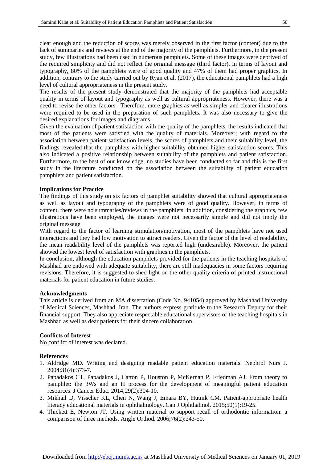clear enough and the reduction of scores was merely observed in the first factor (content) due to the lack of summaries and reviews at the end of the majority of the pamphlets. Furthermore, in the present study, few illustrations had been used in numerous pamphlets. Some of these images were deprived of the required simplicity and did not reflect the original message (third factor). In terms of layout and typography, 80% of the pamphlets were of good quality and 47% of them had proper graphics. In addition, contrary to the study carried out by Ryan et al. (2017), the educational pamphlets had a high level of cultural appropriateness in the present study.

The results of the present study demonstrated that the majority of the pamphlets had acceptable quality in terms of layout and typography as well as cultural appropriateness. However, there was a need to revise the other factors . Therefore, more graphics as well as simpler and clearer illustrations were required to be used in the preparation of such pamphlets. It was also necessary to give the desired explanations for images and diagrams.

Given the evaluation of patient satisfaction with the quality of the pamphlets, the results indicated that most of the patients were satisfied with the quality of materials. Moreover; with regard to the association between patient satisfaction levels, the scores of pamphlets and their suitability level, the findings revealed that the pamphlets with higher suitability obtained higher satisfaction scores. This also indicated a positive relationship between suitability of the pamphlets and patient satisfaction. Furthermore, to the best of our knowledge, no studies have been conducted so far and this is the first study in the literature conducted on the association between the suitability of patient education pamphlets and patient satisfaction.

#### **Implications for Practice**

The findings of this study on six factors of pamphlet suitability showed that cultural appropriateness as well as layout and typography of the pamphlets were of good quality. However, in terms of content, there were no summaries/reviews in the pamphlets. In addition, considering the graphics, few illustrations have been employed, the images were not necessarily simple and did not imply the original message.

With regard to the factor of learning stimulation/motivation, most of the pamphlets have not used interactions and they had low motivation to attract readers. Given the factor of the level of readability, the mean readability level of the pamphlets was reported high (undesirable). Moreover, the patient showed the lowest level of satisfaction with graphics in the pamphlets.

In conclusion, although the education pamphlets provided for the patients in the teaching hospitals of Mashhad are endowed with adequate suitability, there are still inadequacies in some factors requiring revisions. Therefore, it is suggested to shed light on the other quality criteria of printed instructional materials for patient education in future studies.

#### **Acknowledgments**

This article is derived from an MA dissertation (Code No. 941054) approved by Mashhad University of Medical Sciences, Mashhad, Iran. The authors express gratitude to the Research Deputy for their financial support. They also appreciate respectable educational supervisors of the teaching hospitals in Mashhad as well as dear patients for their sincere collaboration.

#### **Conflicts of Interest**

No conflict of interest was declared.

#### **References**

- 1. Aldridge MD. Writing and designing readable patient education materials. [Nephrol Nurs J.](https://www.ncbi.nlm.nih.gov/pubmed/?term=Writing+and+Designing+Readable+Patient+Education+Materials) 2004;31(4):373-7.
- 2. Papadakos CT, Papadakos J, Catton P, Houston P, McKernan P, Friedman AJ. From theory to pamphlet: the 3Ws and an H process for the development of meaningful patient education resources. J Cancer Educ. 2014;29(2):304-10.
- 3. Mikhail D, Visscher KL, Chen N, Wang J, Emara BY, Hutnik CM. Patient-appropriate health literacy educational materials in ophthalmology. Can J Ophthalmol. 2015;50(1):19-25.
- 4. Thickett E, Newton JT. Using written material to support recall of orthodontic information: a comparison of three methods. Angle Orthod. 2006;76(2):243-50.